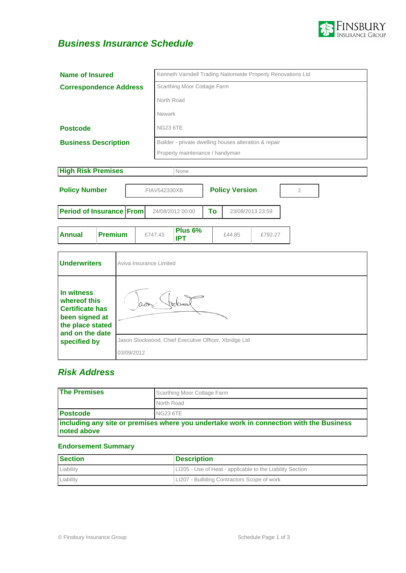

# **Business Insurance Schedule**

| <b>Name of Insured</b>                                                                                                        |                |                                                       | Kenneth Varndell Trading Nationwide Property Renovations Ltd |                                 |                                                       |                        |                       |         |                |
|-------------------------------------------------------------------------------------------------------------------------------|----------------|-------------------------------------------------------|--------------------------------------------------------------|---------------------------------|-------------------------------------------------------|------------------------|-----------------------|---------|----------------|
| <b>Correspondence Address</b>                                                                                                 |                |                                                       | Scarthing Moor Cottage Farm                                  |                                 |                                                       |                        |                       |         |                |
|                                                                                                                               |                |                                                       | North Road                                                   |                                 |                                                       |                        |                       |         |                |
|                                                                                                                               |                |                                                       |                                                              | <b>Newark</b>                   |                                                       |                        |                       |         |                |
| <b>Postcode</b>                                                                                                               |                |                                                       |                                                              | <b>NG23 6TE</b>                 |                                                       |                        |                       |         |                |
|                                                                                                                               |                |                                                       |                                                              |                                 | Builder - private dwelling houses alteration & repair |                        |                       |         |                |
| <b>Business Description</b>                                                                                                   |                |                                                       |                                                              |                                 |                                                       |                        |                       |         |                |
|                                                                                                                               |                |                                                       |                                                              | Property maintenance / handyman |                                                       |                        |                       |         |                |
| <b>High Risk Premises</b>                                                                                                     |                |                                                       |                                                              |                                 | None                                                  |                        |                       |         |                |
| <b>Policy Number</b>                                                                                                          |                |                                                       |                                                              | FIAV542330XB                    |                                                       |                        | <b>Policy Version</b> |         | $\overline{2}$ |
|                                                                                                                               |                |                                                       |                                                              |                                 |                                                       |                        |                       |         |                |
| Period of Insurance From                                                                                                      |                |                                                       |                                                              |                                 | 24/08/2012 00:00                                      | To<br>23/08/2013 23:59 |                       |         |                |
|                                                                                                                               |                |                                                       |                                                              |                                 |                                                       |                        |                       |         |                |
| <b>Annual</b>                                                                                                                 | <b>Premium</b> |                                                       |                                                              | £747.43                         | Plus 6%<br><b>IPT</b>                                 |                        | £44.85                | £792.27 |                |
|                                                                                                                               |                |                                                       |                                                              |                                 |                                                       |                        |                       |         |                |
| <b>Underwriters</b>                                                                                                           |                | Aviva Insurance Limited                               |                                                              |                                 |                                                       |                        |                       |         |                |
|                                                                                                                               |                |                                                       |                                                              |                                 |                                                       |                        |                       |         |                |
|                                                                                                                               |                |                                                       |                                                              |                                 |                                                       |                        |                       |         |                |
| In witness<br>whereof this<br><b>Certificate has</b><br>been signed at<br>the place stated<br>and on the date<br>specified by |                |                                                       |                                                              |                                 |                                                       |                        |                       |         |                |
|                                                                                                                               |                |                                                       |                                                              |                                 |                                                       |                        |                       |         |                |
|                                                                                                                               |                |                                                       |                                                              |                                 |                                                       |                        |                       |         |                |
|                                                                                                                               |                | Jason Stockwood, Chief Executive Officer, Xbridge Ltd |                                                              |                                 |                                                       |                        |                       |         |                |
|                                                                                                                               |                |                                                       | 03/09/2012                                                   |                                 |                                                       |                        |                       |         |                |

# **Risk Address**

| <b>The Premises</b>                                                                                    | Scarthing Moor Cottage Farm |  |  |  |
|--------------------------------------------------------------------------------------------------------|-----------------------------|--|--|--|
|                                                                                                        | North Road                  |  |  |  |
| <b>Postcode</b>                                                                                        | <b>NG23 6TE</b>             |  |  |  |
| including any site or premises where you undertake work in connection with the Business<br>noted above |                             |  |  |  |

## **Endorsement Summary**

| Section   | <b>Description</b>                                        |
|-----------|-----------------------------------------------------------|
| Liability | LI205 - Use of Heat - applicable to the Liability Section |
| Liability | LI207 - Buillding Contractors Scope of work               |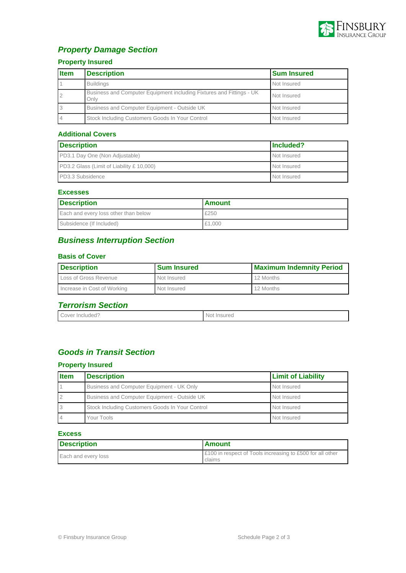

# **Property Damage Section**

## **Property Insured**

| <b>Item</b> | <b>Description</b>                                                           | <b>Sum Insured</b> |
|-------------|------------------------------------------------------------------------------|--------------------|
|             | <b>Buildings</b>                                                             | Not Insured        |
|             | Business and Computer Equipment including Fixtures and Fittings - UK<br>Only | Not Insured        |
|             | Business and Computer Equipment - Outside UK                                 | Not Insured        |
|             | Stock Including Customers Goods In Your Control                              | Not Insured        |

### **Additional Covers**

| <b>Description</b>                               | lncluded?   |
|--------------------------------------------------|-------------|
| <b>PD3.1 Day One (Non Adjustable)</b>            | Not Insured |
| <b>PD3.2 Glass (Limit of Liability £ 10,000)</b> | Not Insured |
| PD3.3 Subsidence                                 | Not Insured |

### **Excesses**

| <b>Description</b>                   | <b>Amount</b> |  |
|--------------------------------------|---------------|--|
| Each and every loss other than below | £250          |  |
| Subsidence (If Included)             | £1,000        |  |

## **Business Interruption Section**

### **Basis of Cover**

| <b>Description</b>          | <b>Sum Insured</b> | <b>Maximum Indemnity Period</b> |  |
|-----------------------------|--------------------|---------------------------------|--|
| Loss of Gross Revenue       | Not Insured        | 12 Months                       |  |
| Increase in Cost of Working | Not Insured        | 12 Months                       |  |

# **Terrorism Section**

| Cover<br>: Included? | Insured<br>Nol. |
|----------------------|-----------------|
|                      |                 |

## **Goods in Transit Section**

## **Property Insured**

| <b>Item</b> | <b>Description</b>                              | <b>Limit of Liability</b> |
|-------------|-------------------------------------------------|---------------------------|
|             | Business and Computer Equipment - UK Only       | Not Insured               |
|             | Business and Computer Equipment - Outside UK    | Not Insured               |
|             | Stock Including Customers Goods In Your Control | Not Insured               |
|             | Your Tools                                      | Not Insured               |

#### **Excess**

| Description         | <b>Amount</b>                                                       |
|---------------------|---------------------------------------------------------------------|
| Each and every loss | E100 in respect of Tools increasing to £500 for all other<br>claims |